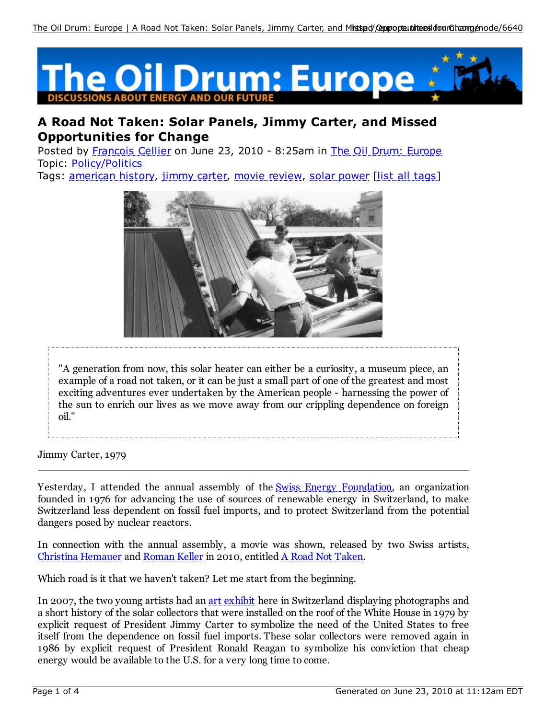

## **A Road Not Taken: Solar Panels, Jimmy Carter, and Missed Opportunities for Change**

Posted by Francois Cellier on June 23, 2010 - 8:25am in The Oil Drum: Europe Topic: Policy/Politics

Tags: american history, jimmy carter, movie review, solar power [list all tags]



"A generation from now, this solar heater can either be a curiosity, a museum piece, an example of a road not taken, or it can be just a small part of one of the greatest and most exciting adventures ever undertaken by the American people - harnessing the power of the sun to enrich our lives as we move away from our crippling dependence on foreign oil."

Jimmy Carter, 1979

Yesterday, I attended the annual assembly of the Swiss Energy Foundation, an organization founded in 1976 for advancing the use of sources of renewable energy in Switzerland, to make Switzerland less dependent on fossil fuel imports, and to protect Switzerland from the potential dangers posed by nuclear reactors.

In connection with the annual assembly, a movie was shown, released by two Swiss artists, Christina Hemauer and Roman Keller in 2010, entitled A Road Not Taken.

Which road is it that we haven't taken? Let me start from the beginning.

In 2007, the two young artists had an art exhibit here in Switzerland displaying photographs and a short history of the solar collectors that were installed on the roof of the White House in 1979 by explicit request of President Jimmy Carter to symbolize the need of the United States to free itself from the dependence on fossil fuel imports. These solar collectors were removed again in 1986 by explicit request of President Ronald Reagan to symbolize his conviction that cheap energy would be available to the U.S. for a very long time to come.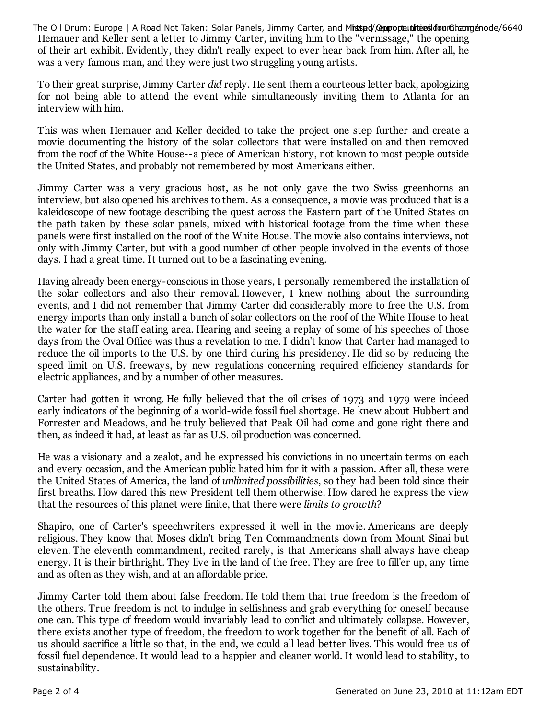The Oil Drum: Europe | A Road Not Taken: Solar Panels, Jimmy Carter, and Ministed/@pupopteu.hthiteiesildforumCh.camge/node/6640

Hemauer and Keller sent a letter to Jimmy Carter, inviting him to the "vernissage," the opening of their art exhibit. Evidently, they didn't really expect to ever hear back from him. After all, he was a very famous man, and they were just two struggling young artists.

To their great surprise, Jimmy Carter *did* reply. He sent them a courteous letter back, apologizing for not being able to attend the event while simultaneously inviting them to Atlanta for an interview with him.

This was when Hemauer and Keller decided to take the project one step further and create a movie documenting the history of the solar collectors that were installed on and then removed from the roof of the White House--a piece of American history, not known to most people outside the United States, and probably not remembered by most Americans either.

Jimmy Carter was a very gracious host, as he not only gave the two Swiss greenhorns an interview, but also opened his archives to them. As a consequence, a movie was produced that is a kaleidoscope of new footage describing the quest across the Eastern part of the United States on the path taken by these solar panels, mixed with historical footage from the time when these panels were first installed on the roof of the White House. The movie also contains interviews, not only with Jimmy Carter, but with a good number of other people involved in the events of those days. I had a great time. It turned out to be a fascinating evening.

Having already been energy-conscious in those years, I personally remembered the installation of the solar collectors and also their removal. However, I knew nothing about the surrounding events, and I did not remember that Jimmy Carter did considerably more to free the U.S. from energy imports than only install a bunch of solar collectors on the roof of the White House to heat the water for the staff eating area. Hearing and seeing a replay of some of his speeches of those days from the Oval Office was thus a revelation to me. I didn't know that Carter had managed to reduce the oil imports to the U.S. by one third during his presidency. He did so by reducing the speed limit on U.S. freeways, by new regulations concerning required efficiency standards for electric appliances, and by a number of other measures.

Carter had gotten it wrong. He fully believed that the oil crises of 1973 and 1979 were indeed early indicators of the beginning of a world-wide fossil fuel shortage. He knew about Hubbert and Forrester and Meadows, and he truly believed that Peak Oil had come and gone right there and then, as indeed it had, at least as far as U.S. oil production was concerned.

He was a visionary and a zealot, and he expressed his convictions in no uncertain terms on each and every occasion, and the American public hated him for it with a passion. After all, these were the United States of America, the land of *unlimited possibilities*, so they had been told since their first breaths. How dared this new President tell them otherwise. How dared he express the view that the resources of this planet were finite, that there were *limits to growth*?

Shapiro, one of Carter's speechwriters expressed it well in the movie. Americans are deeply religious. They know that Moses didn't bring Ten Commandments down from Mount Sinai but eleven. The eleventh commandment, recited rarely, is that Americans shall always have cheap energy. It is their birthright. They live in the land of the free. They are free to fill'er up, any time and as often as they wish, and at an affordable price.

Jimmy Carter told them about false freedom. He told them that true freedom is the freedom of the others. True freedom is not to indulge in selfishness and grab everything for oneself because one can. This type of freedom would invariably lead to conflict and ultimately collapse. However, there exists another type of freedom, the freedom to work together for the benefit of all. Each of us should sacrifice a little so that, in the end, we could all lead better lives. This would free us of fossil fuel dependence. It would lead to a happier and cleaner world. It would lead to stability, to sustainability.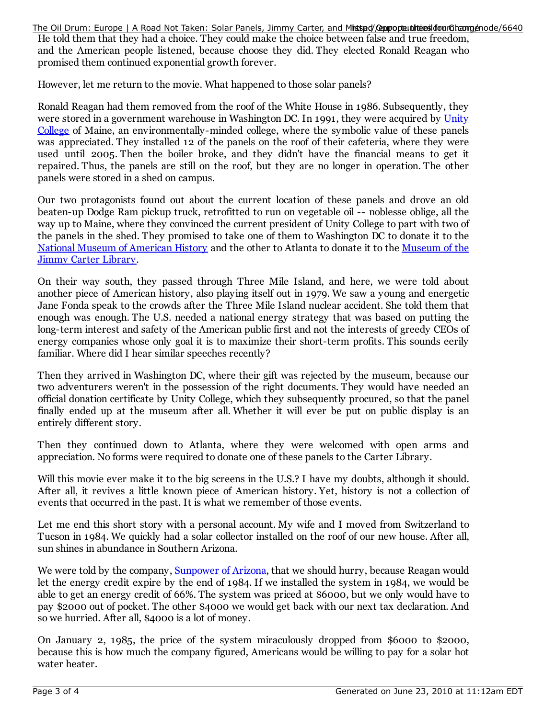The Oil Drum: Europe | A Road Not Taken: Solar Panels, Jimmy Carter, and Ministed/@pupopteu.hthiteiesildforumCh.camge/node/6640

He told them that they had a choice. They could make the choice between false and true freedom, and the American people listened, because choose they did. They elected Ronald Reagan who promised them continued exponential growth forever.

However, let me return to the movie. What happened to those solar panels?

Ronald Reagan had them removed from the roof of the White House in 1986. Subsequently, they were stored in a government warehouse in Washington DC. In 1991, they were acquired by Unity College of Maine, an environmentally-minded college, where the symbolic value of these panels was appreciated. They installed 12 of the panels on the roof of their cafeteria, where they were used until 2005. Then the boiler broke, and they didn't have the financial means to get it repaired. Thus, the panels are still on the roof, but they are no longer in operation. The other panels were stored in a shed on campus.

Our two protagonists found out about the current location of these panels and drove an old beaten-up Dodge Ram pickup truck, retrofitted to run on vegetable oil -- noblesse oblige, all the way up to Maine, where they convinced the current president of Unity College to part with two of the panels in the shed. They promised to take one of them to Washington DC to donate it to the National Museum of American History and the other to Atlanta to donate it to the Museum of the Jimmy Carter Library.

On their way south, they passed through Three Mile Island, and here, we were told about another piece of American history, also playing itself out in 1979. We saw a young and energetic Jane Fonda speak to the crowds after the Three Mile Island nuclear accident. She told them that enough was enough. The U.S. needed a national energy strategy that was based on putting the long-term interest and safety of the American public first and not the interests of greedy CEOs of energy companies whose only goal it is to maximize their short-term profits. This sounds eerily familiar. Where did I hear similar speeches recently?

Then they arrived in Washington DC, where their gift was rejected by the museum, because our two adventurers weren't in the possession of the right documents. They would have needed an official donation certificate by Unity College, which they subsequently procured, so that the panel finally ended up at the museum after all. Whether it will ever be put on public display is an entirely different story.

Then they continued down to Atlanta, where they were welcomed with open arms and appreciation. No forms were required to donate one of these panels to the Carter Library.

Will this movie ever make it to the big screens in the U.S.? I have my doubts, although it should. After all, it revives a little known piece of American history. Yet, history is not a collection of events that occurred in the past. It is what we remember of those events.

Let me end this short story with a personal account. My wife and I moved from Switzerland to Tucson in 1984. We quickly had a solar collector installed on the roof of our new house. After all, sun shines in abundance in Southern Arizona.

We were told by the company, Sunpower of Arizona, that we should hurry, because Reagan would let the energy credit expire by the end of 1984. If we installed the system in 1984, we would be able to get an energy credit of 66%. The system was priced at \$6000, but we only would have to pay \$2000 out of pocket. The other \$4000 we would get back with our next tax declaration. And so we hurried. After all, \$4000 is a lot of money.

On January 2, 1985, the price of the system miraculously dropped from \$6000 to \$2000, because this is how much the company figured, Americans would be willing to pay for a solar hot water heater.